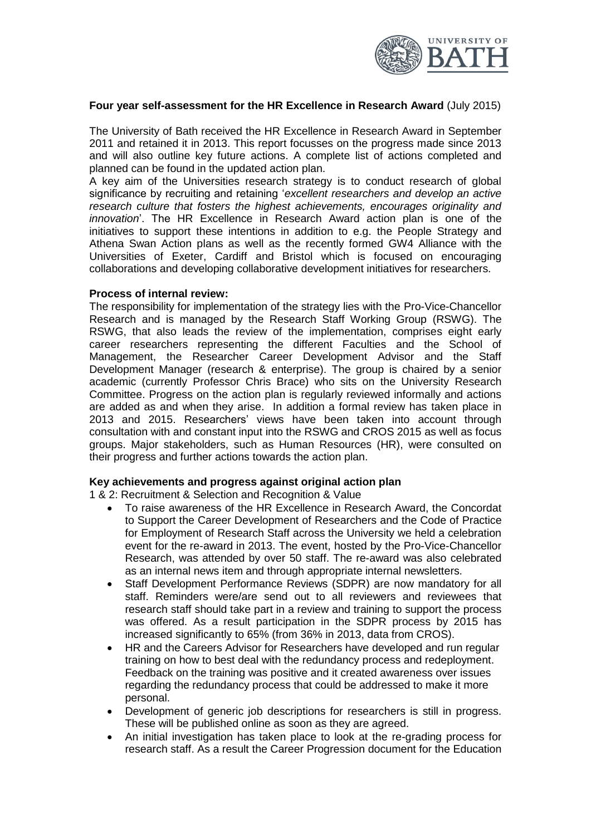

### **Four year self-assessment for the HR Excellence in Research Award** (July 2015)

The University of Bath received the HR Excellence in Research Award in September 2011 and retained it in 2013. This report focusses on the progress made since 2013 and will also outline key future actions. A complete list of actions completed and planned can be found in the updated action plan.

A key aim of the Universities research strategy is to conduct research of global significance by recruiting and retaining '*excellent researchers and develop an active research culture that fosters the highest achievements, encourages originality and innovation*'. The HR Excellence in Research Award action plan is one of the initiatives to support these intentions in addition to e.g. the People Strategy and Athena Swan Action plans as well as the recently formed GW4 Alliance with the Universities of Exeter, Cardiff and Bristol which is focused on encouraging collaborations and developing collaborative development initiatives for researchers.

#### **Process of internal review:**

The responsibility for implementation of the strategy lies with the Pro-Vice-Chancellor Research and is managed by the Research Staff Working Group (RSWG). The RSWG, that also leads the review of the implementation, comprises eight early career researchers representing the different Faculties and the School of Management, the Researcher Career Development Advisor and the Staff Development Manager (research & enterprise). The group is chaired by a senior academic (currently Professor Chris Brace) who sits on the University Research Committee. Progress on the action plan is regularly reviewed informally and actions are added as and when they arise. In addition a formal review has taken place in 2013 and 2015. Researchers' views have been taken into account through consultation with and constant input into the RSWG and CROS 2015 as well as focus groups. Major stakeholders, such as Human Resources (HR), were consulted on their progress and further actions towards the action plan.

#### **Key achievements and progress against original action plan**

1 & 2: Recruitment & Selection and Recognition & Value

- To raise awareness of the HR Excellence in Research Award, the Concordat to Support the Career Development of Researchers and the Code of Practice for Employment of Research Staff across the University we held a celebration event for the re-award in 2013. The event, hosted by the Pro-Vice-Chancellor Research, was attended by over 50 staff. The re-award was also celebrated as an internal news item and through appropriate internal newsletters.
- Staff Development Performance Reviews (SDPR) are now mandatory for all staff. Reminders were/are send out to all reviewers and reviewees that research staff should take part in a review and training to support the process was offered. As a result participation in the SDPR process by 2015 has increased significantly to 65% (from 36% in 2013, data from CROS).
- HR and the Careers Advisor for Researchers have developed and run regular training on how to best deal with the redundancy process and redeployment. Feedback on the training was positive and it created awareness over issues regarding the redundancy process that could be addressed to make it more personal.
- Development of generic job descriptions for researchers is still in progress. These will be published online as soon as they are agreed.
- An initial investigation has taken place to look at the re-grading process for research staff. As a result the Career Progression document for the Education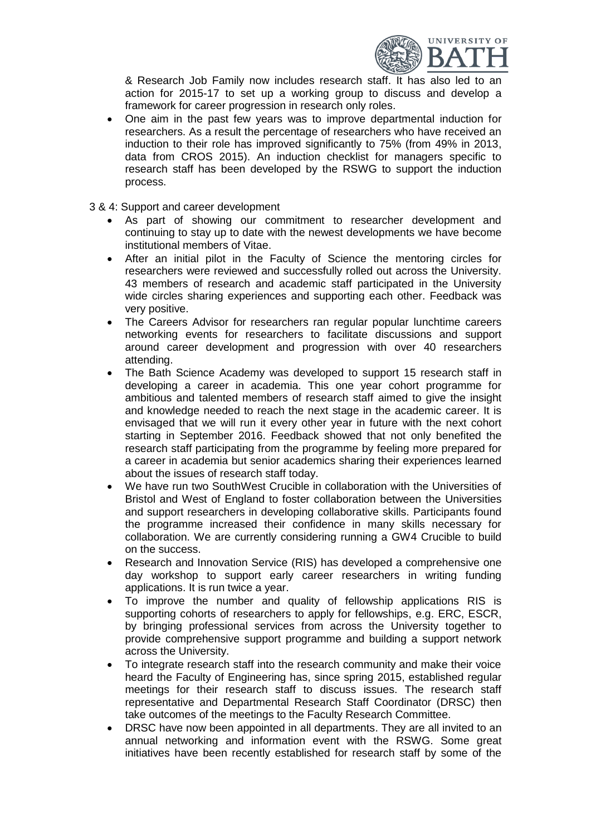

& Research Job Family now includes research staff. It has also led to an action for 2015-17 to set up a working group to discuss and develop a framework for career progression in research only roles.

- One aim in the past few years was to improve departmental induction for researchers. As a result the percentage of researchers who have received an induction to their role has improved significantly to 75% (from 49% in 2013, data from CROS 2015). An induction checklist for managers specific to research staff has been developed by the RSWG to support the induction process.
- 3 & 4: Support and career development
	- As part of showing our commitment to researcher development and continuing to stay up to date with the newest developments we have become institutional members of Vitae.
	- After an initial pilot in the Faculty of Science the mentoring circles for researchers were reviewed and successfully rolled out across the University. 43 members of research and academic staff participated in the University wide circles sharing experiences and supporting each other. Feedback was very positive.
	- The Careers Advisor for researchers ran regular popular lunchtime careers networking events for researchers to facilitate discussions and support around career development and progression with over 40 researchers attending.
	- The Bath Science Academy was developed to support 15 research staff in developing a career in academia. This one year cohort programme for ambitious and talented members of research staff aimed to give the insight and knowledge needed to reach the next stage in the academic career. It is envisaged that we will run it every other year in future with the next cohort starting in September 2016. Feedback showed that not only benefited the research staff participating from the programme by feeling more prepared for a career in academia but senior academics sharing their experiences learned about the issues of research staff today.
	- We have run two SouthWest Crucible in collaboration with the Universities of Bristol and West of England to foster collaboration between the Universities and support researchers in developing collaborative skills. Participants found the programme increased their confidence in many skills necessary for collaboration. We are currently considering running a GW4 Crucible to build on the success.
	- Research and Innovation Service (RIS) has developed a comprehensive one day workshop to support early career researchers in writing funding applications. It is run twice a year.
	- To improve the number and quality of fellowship applications RIS is supporting cohorts of researchers to apply for fellowships, e.g. ERC, ESCR, by bringing professional services from across the University together to provide comprehensive support programme and building a support network across the University.
	- To integrate research staff into the research community and make their voice heard the Faculty of Engineering has, since spring 2015, established regular meetings for their research staff to discuss issues. The research staff representative and Departmental Research Staff Coordinator (DRSC) then take outcomes of the meetings to the Faculty Research Committee.
	- DRSC have now been appointed in all departments. They are all invited to an annual networking and information event with the RSWG. Some great initiatives have been recently established for research staff by some of the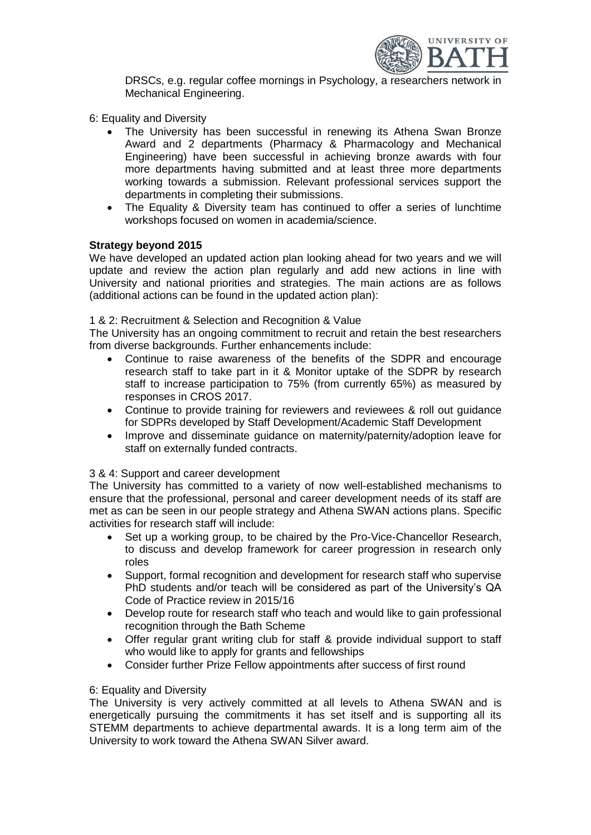

DRSCs, e.g. regular coffee mornings in Psychology, a researchers network in Mechanical Engineering.

- 6: Equality and Diversity
	- The University has been successful in renewing its Athena Swan Bronze Award and 2 departments (Pharmacy & Pharmacology and Mechanical Engineering) have been successful in achieving bronze awards with four more departments having submitted and at least three more departments working towards a submission. Relevant professional services support the departments in completing their submissions.
	- The Equality & Diversity team has continued to offer a series of lunchtime workshops focused on women in academia/science.

#### **Strategy beyond 2015**

We have developed an updated action plan looking ahead for two years and we will update and review the action plan regularly and add new actions in line with University and national priorities and strategies. The main actions are as follows (additional actions can be found in the updated action plan):

#### 1 & 2: Recruitment & Selection and Recognition & Value

The University has an ongoing commitment to recruit and retain the best researchers from diverse backgrounds. Further enhancements include:

- Continue to raise awareness of the benefits of the SDPR and encourage research staff to take part in it & Monitor uptake of the SDPR by research staff to increase participation to 75% (from currently 65%) as measured by responses in CROS 2017.
- Continue to provide training for reviewers and reviewees & roll out guidance for SDPRs developed by Staff Development/Academic Staff Development
- Improve and disseminate quidance on maternity/paternity/adoption leave for staff on externally funded contracts.

#### 3 & 4: Support and career development

The University has committed to a variety of now well-established mechanisms to ensure that the professional, personal and career development needs of its staff are met as can be seen in our people strategy and Athena SWAN actions plans. Specific activities for research staff will include:

- Set up a working group, to be chaired by the Pro-Vice-Chancellor Research, to discuss and develop framework for career progression in research only roles
- Support, formal recognition and development for research staff who supervise PhD students and/or teach will be considered as part of the University's QA Code of Practice review in 2015/16
- Develop route for research staff who teach and would like to gain professional recognition through the Bath Scheme
- Offer regular grant writing club for staff & provide individual support to staff who would like to apply for grants and fellowships
- Consider further Prize Fellow appointments after success of first round

#### 6: Equality and Diversity

The University is very actively committed at all levels to Athena SWAN and is energetically pursuing the commitments it has set itself and is supporting all its STEMM departments to achieve departmental awards. It is a long term aim of the University to work toward the Athena SWAN Silver award.